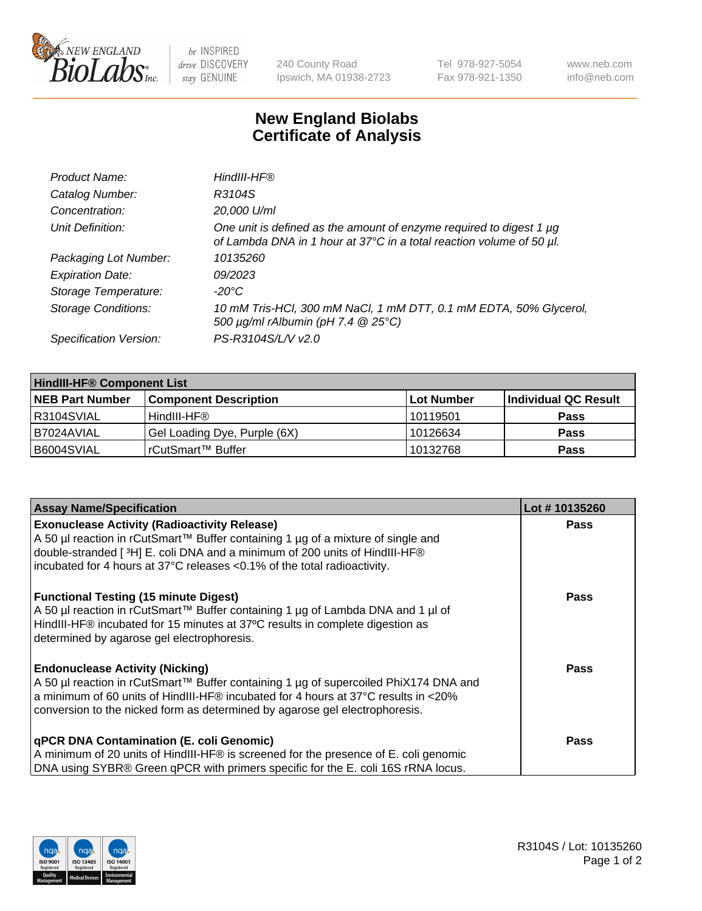

 $be$  INSPIRED drive DISCOVERY stay GENUINE

240 County Road Ipswich, MA 01938-2723 Tel 978-927-5054 Fax 978-921-1350 www.neb.com info@neb.com

## **New England Biolabs Certificate of Analysis**

| Product Name:              | HindIII-HF®                                                                                                                                 |
|----------------------------|---------------------------------------------------------------------------------------------------------------------------------------------|
| Catalog Number:            | R3104S                                                                                                                                      |
| Concentration:             | 20,000 U/ml                                                                                                                                 |
| Unit Definition:           | One unit is defined as the amount of enzyme required to digest 1 µg<br>of Lambda DNA in 1 hour at 37°C in a total reaction volume of 50 µl. |
| Packaging Lot Number:      | 10135260                                                                                                                                    |
| <b>Expiration Date:</b>    | 09/2023                                                                                                                                     |
| Storage Temperature:       | $-20^{\circ}$ C                                                                                                                             |
| <b>Storage Conditions:</b> | 10 mM Tris-HCl, 300 mM NaCl, 1 mM DTT, 0.1 mM EDTA, 50% Glycerol,<br>500 $\mu$ g/ml rAlbumin (pH 7.4 $@$ 25°C)                              |
| Specification Version:     | PS-R3104S/L/V v2.0                                                                                                                          |

| <b>HindIII-HF® Component List</b> |                              |                   |                      |  |  |
|-----------------------------------|------------------------------|-------------------|----------------------|--|--|
| <b>NEB Part Number</b>            | <b>Component Description</b> | <b>Lot Number</b> | Individual QC Result |  |  |
| R3104SVIAL                        | HindIII-HF®                  | 10119501          | <b>Pass</b>          |  |  |
| I B7024AVIAL                      | Gel Loading Dye, Purple (6X) | 10126634          | <b>Pass</b>          |  |  |
| B6004SVIAL                        | rCutSmart™ Buffer            | 10132768          | <b>Pass</b>          |  |  |

| <b>Assay Name/Specification</b>                                                                                                                                                    | Lot #10135260 |
|------------------------------------------------------------------------------------------------------------------------------------------------------------------------------------|---------------|
| <b>Exonuclease Activity (Radioactivity Release)</b>                                                                                                                                | <b>Pass</b>   |
| A 50 µl reaction in rCutSmart™ Buffer containing 1 µg of a mixture of single and<br>double-stranded [ <sup>3</sup> H] E. coli DNA and a minimum of 200 units of HindIII-HF®        |               |
| incubated for 4 hours at 37°C releases <0.1% of the total radioactivity.                                                                                                           |               |
| <b>Functional Testing (15 minute Digest)</b>                                                                                                                                       | <b>Pass</b>   |
| A 50 µl reaction in rCutSmart™ Buffer containing 1 µg of Lambda DNA and 1 µl of<br>HindIII-HF® incubated for 15 minutes at 37°C results in complete digestion as                   |               |
| determined by agarose gel electrophoresis.                                                                                                                                         |               |
| <b>Endonuclease Activity (Nicking)</b>                                                                                                                                             | Pass          |
| A 50 µl reaction in rCutSmart™ Buffer containing 1 µg of supercoiled PhiX174 DNA and<br>$\vert$ a minimum of 60 units of HindIII-HF® incubated for 4 hours at 37°C results in <20% |               |
| conversion to the nicked form as determined by agarose gel electrophoresis.                                                                                                        |               |
| <b>qPCR DNA Contamination (E. coli Genomic)</b>                                                                                                                                    | <b>Pass</b>   |
| A minimum of 20 units of HindIII-HF® is screened for the presence of E. coli genomic                                                                                               |               |
| DNA using SYBR® Green qPCR with primers specific for the E. coli 16S rRNA locus.                                                                                                   |               |